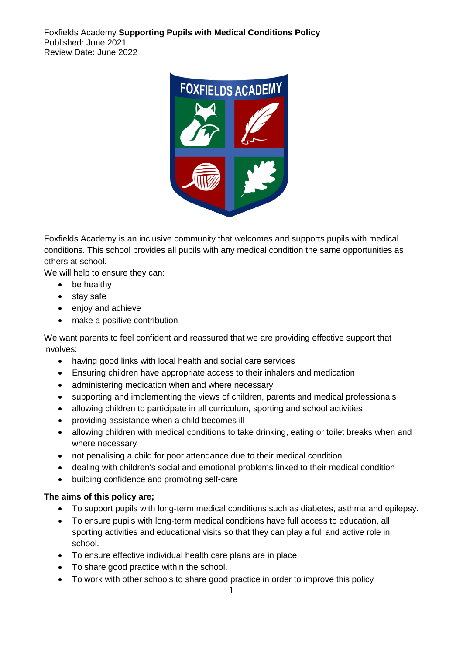

Foxfields Academy is an inclusive community that welcomes and supports pupils with medical conditions. This school provides all pupils with any medical condition the same opportunities as others at school.

We will help to ensure they can:

- be healthy
- stay safe
- enjoy and achieve
- make a positive contribution

We want parents to feel confident and reassured that we are providing effective support that involves:

- having good links with local health and social care services
- Ensuring children have appropriate access to their inhalers and medication
- administering medication when and where necessary
- supporting and implementing the views of children, parents and medical professionals
- allowing children to participate in all curriculum, sporting and school activities
- providing assistance when a child becomes ill
- allowing children with medical conditions to take drinking, eating or toilet breaks when and where necessary
- not penalising a child for poor attendance due to their medical condition
- dealing with children's social and emotional problems linked to their medical condition
- building confidence and promoting self-care

## **The aims of this policy are;**

- To support pupils with long-term medical conditions such as diabetes, asthma and epilepsy.
- To ensure pupils with long-term medical conditions have full access to education, all sporting activities and educational visits so that they can play a full and active role in school.
- To ensure effective individual health care plans are in place.
- To share good practice within the school.
- To work with other schools to share good practice in order to improve this policy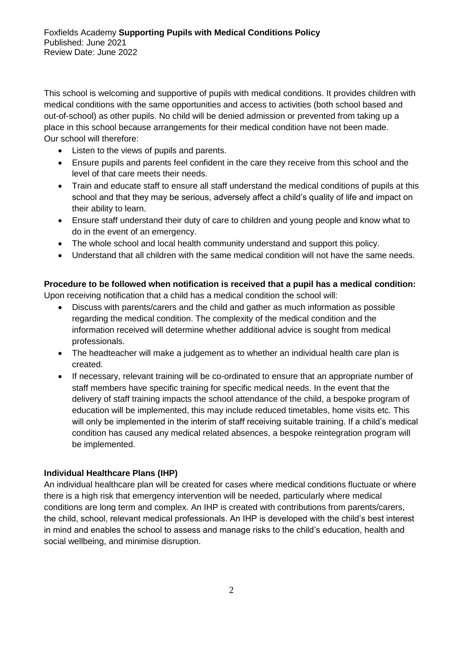This school is welcoming and supportive of pupils with medical conditions. It provides children with medical conditions with the same opportunities and access to activities (both school based and out-of-school) as other pupils. No child will be denied admission or prevented from taking up a place in this school because arrangements for their medical condition have not been made. Our school will therefore:

- Listen to the views of pupils and parents.
- Ensure pupils and parents feel confident in the care they receive from this school and the level of that care meets their needs.
- Train and educate staff to ensure all staff understand the medical conditions of pupils at this school and that they may be serious, adversely affect a child's quality of life and impact on their ability to learn.
- Ensure staff understand their duty of care to children and young people and know what to do in the event of an emergency.
- The whole school and local health community understand and support this policy.
- Understand that all children with the same medical condition will not have the same needs.

## **Procedure to be followed when notification is received that a pupil has a medical condition:**

Upon receiving notification that a child has a medical condition the school will:

- Discuss with parents/carers and the child and gather as much information as possible regarding the medical condition. The complexity of the medical condition and the information received will determine whether additional advice is sought from medical professionals.
- The headteacher will make a judgement as to whether an individual health care plan is created.
- If necessary, relevant training will be co-ordinated to ensure that an appropriate number of staff members have specific training for specific medical needs. In the event that the delivery of staff training impacts the school attendance of the child, a bespoke program of education will be implemented, this may include reduced timetables, home visits etc. This will only be implemented in the interim of staff receiving suitable training. If a child's medical condition has caused any medical related absences, a bespoke reintegration program will be implemented.

## **Individual Healthcare Plans (IHP)**

An individual healthcare plan will be created for cases where medical conditions fluctuate or where there is a high risk that emergency intervention will be needed, particularly where medical conditions are long term and complex. An IHP is created with contributions from parents/carers, the child, school, relevant medical professionals. An IHP is developed with the child's best interest in mind and enables the school to assess and manage risks to the child's education, health and social wellbeing, and minimise disruption.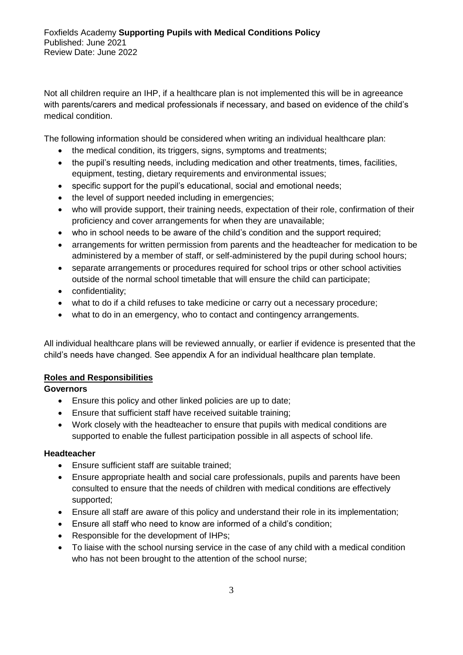Not all children require an IHP, if a healthcare plan is not implemented this will be in agreeance with parents/carers and medical professionals if necessary, and based on evidence of the child's medical condition.

The following information should be considered when writing an individual healthcare plan:

- the medical condition, its triggers, signs, symptoms and treatments;
- the pupil's resulting needs, including medication and other treatments, times, facilities, equipment, testing, dietary requirements and environmental issues;
- specific support for the pupil's educational, social and emotional needs;
- the level of support needed including in emergencies;
- who will provide support, their training needs, expectation of their role, confirmation of their proficiency and cover arrangements for when they are unavailable;
- who in school needs to be aware of the child's condition and the support required;
- arrangements for written permission from parents and the headteacher for medication to be administered by a member of staff, or self-administered by the pupil during school hours;
- separate arrangements or procedures required for school trips or other school activities outside of the normal school timetable that will ensure the child can participate;
- confidentiality;
- what to do if a child refuses to take medicine or carry out a necessary procedure;
- what to do in an emergency, who to contact and contingency arrangements.

All individual healthcare plans will be reviewed annually, or earlier if evidence is presented that the child's needs have changed. See appendix A for an individual healthcare plan template.

## **Roles and Responsibilities**

## **Governors**

- Ensure this policy and other linked policies are up to date;
- Ensure that sufficient staff have received suitable training;
- Work closely with the headteacher to ensure that pupils with medical conditions are supported to enable the fullest participation possible in all aspects of school life.

## **Headteacher**

- Ensure sufficient staff are suitable trained;
- Ensure appropriate health and social care professionals, pupils and parents have been consulted to ensure that the needs of children with medical conditions are effectively supported;
- Ensure all staff are aware of this policy and understand their role in its implementation;
- Ensure all staff who need to know are informed of a child's condition;
- Responsible for the development of IHPs;
- To liaise with the school nursing service in the case of any child with a medical condition who has not been brought to the attention of the school nurse: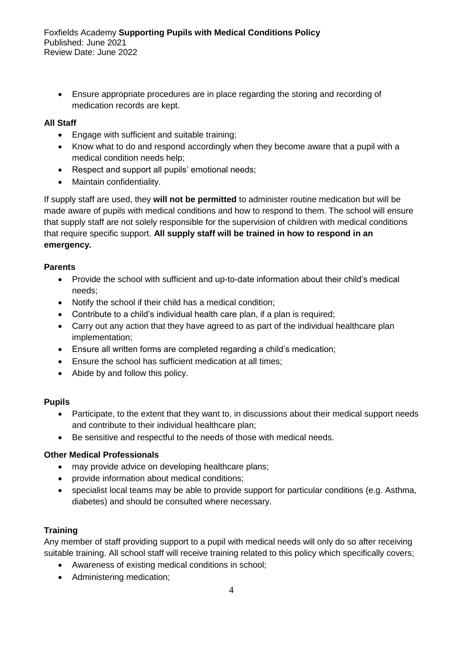• Ensure appropriate procedures are in place regarding the storing and recording of medication records are kept.

## **All Staff**

- Engage with sufficient and suitable training;
- Know what to do and respond accordingly when they become aware that a pupil with a medical condition needs help;
- Respect and support all pupils' emotional needs;
- Maintain confidentiality.

If supply staff are used, they **will not be permitted** to administer routine medication but will be made aware of pupils with medical conditions and how to respond to them. The school will ensure that supply staff are not solely responsible for the supervision of children with medical conditions that require specific support. **All supply staff will be trained in how to respond in an emergency.**

## **Parents**

- Provide the school with sufficient and up-to-date information about their child's medical needs;
- Notify the school if their child has a medical condition;
- Contribute to a child's individual health care plan, if a plan is required;
- Carry out any action that they have agreed to as part of the individual healthcare plan implementation;
- Ensure all written forms are completed regarding a child's medication;
- Ensure the school has sufficient medication at all times;
- Abide by and follow this policy.

## **Pupils**

- Participate, to the extent that they want to, in discussions about their medical support needs and contribute to their individual healthcare plan;
- Be sensitive and respectful to the needs of those with medical needs.

## **Other Medical Professionals**

- may provide advice on developing healthcare plans;
- provide information about medical conditions;
- specialist local teams may be able to provide support for particular conditions (e.g. Asthma, diabetes) and should be consulted where necessary.

## **Training**

Any member of staff providing support to a pupil with medical needs will only do so after receiving suitable training. All school staff will receive training related to this policy which specifically covers;

- Awareness of existing medical conditions in school;
- Administering medication;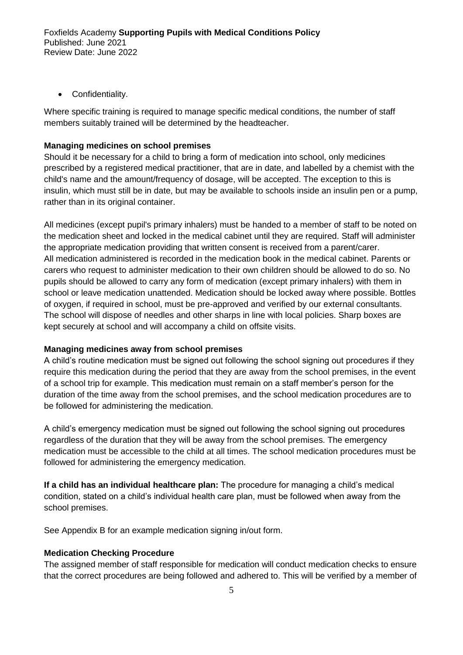• Confidentiality.

Where specific training is required to manage specific medical conditions, the number of staff members suitably trained will be determined by the headteacher.

#### **Managing medicines on school premises**

Should it be necessary for a child to bring a form of medication into school, only medicines prescribed by a registered medical practitioner, that are in date, and labelled by a chemist with the child's name and the amount/frequency of dosage, will be accepted. The exception to this is insulin, which must still be in date, but may be available to schools inside an insulin pen or a pump, rather than in its original container.

All medicines (except pupil's primary inhalers) must be handed to a member of staff to be noted on the medication sheet and locked in the medical cabinet until they are required. Staff will administer the appropriate medication providing that written consent is received from a parent/carer. All medication administered is recorded in the medication book in the medical cabinet. Parents or carers who request to administer medication to their own children should be allowed to do so. No pupils should be allowed to carry any form of medication (except primary inhalers) with them in school or leave medication unattended. Medication should be locked away where possible. Bottles of oxygen, if required in school, must be pre-approved and verified by our external consultants. The school will dispose of needles and other sharps in line with local policies. Sharp boxes are kept securely at school and will accompany a child on offsite visits.

#### **Managing medicines away from school premises**

A child's routine medication must be signed out following the school signing out procedures if they require this medication during the period that they are away from the school premises, in the event of a school trip for example. This medication must remain on a staff member's person for the duration of the time away from the school premises, and the school medication procedures are to be followed for administering the medication.

A child's emergency medication must be signed out following the school signing out procedures regardless of the duration that they will be away from the school premises. The emergency medication must be accessible to the child at all times. The school medication procedures must be followed for administering the emergency medication.

**If a child has an individual healthcare plan:** The procedure for managing a child's medical condition, stated on a child's individual health care plan, must be followed when away from the school premises.

See Appendix B for an example medication signing in/out form.

## **Medication Checking Procedure**

The assigned member of staff responsible for medication will conduct medication checks to ensure that the correct procedures are being followed and adhered to. This will be verified by a member of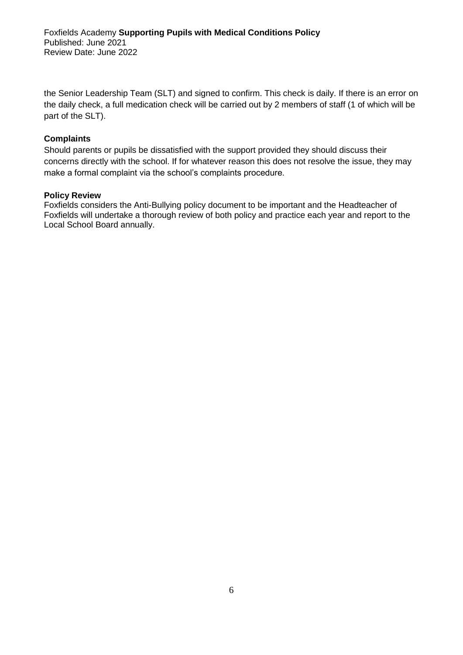the Senior Leadership Team (SLT) and signed to confirm. This check is daily. If there is an error on the daily check, a full medication check will be carried out by 2 members of staff (1 of which will be part of the SLT).

#### **Complaints**

Should parents or pupils be dissatisfied with the support provided they should discuss their concerns directly with the school. If for whatever reason this does not resolve the issue, they may make a formal complaint via the school's complaints procedure.

#### **Policy Review**

Foxfields considers the Anti-Bullying policy document to be important and the Headteacher of Foxfields will undertake a thorough review of both policy and practice each year and report to the Local School Board annually.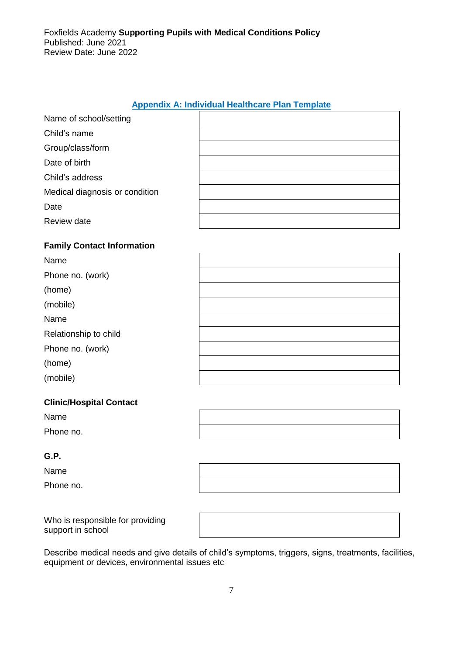## **Appendix A: Individual Healthcare Plan Template**

| Name of school/setting         |  |
|--------------------------------|--|
| Child's name                   |  |
| Group/class/form               |  |
| Date of birth                  |  |
| Child's address                |  |
| Medical diagnosis or condition |  |
| Date                           |  |
| Review date                    |  |

## **Family Contact Information**

| Name                  |  |
|-----------------------|--|
| Phone no. (work)      |  |
| (home)                |  |
| (mobile)              |  |
| Name                  |  |
| Relationship to child |  |
| Phone no. (work)      |  |
| (home)                |  |
| (mobile)              |  |

## **Clinic/Hospital Contact**

Name

Phone no.

# **G.P.**

Name

Phone no.

Who is responsible for providing support in school

Describe medical needs and give details of child's symptoms, triggers, signs, treatments, facilities, equipment or devices, environmental issues etc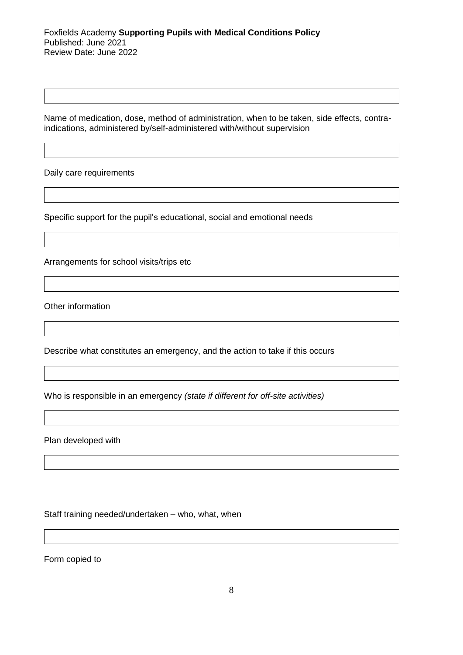Name of medication, dose, method of administration, when to be taken, side effects, contraindications, administered by/self-administered with/without supervision

Daily care requirements

Specific support for the pupil's educational, social and emotional needs

Arrangements for school visits/trips etc

Other information

Describe what constitutes an emergency, and the action to take if this occurs

Who is responsible in an emergency *(state if different for off-site activities)*

Plan developed with

Staff training needed/undertaken – who, what, when

Form copied to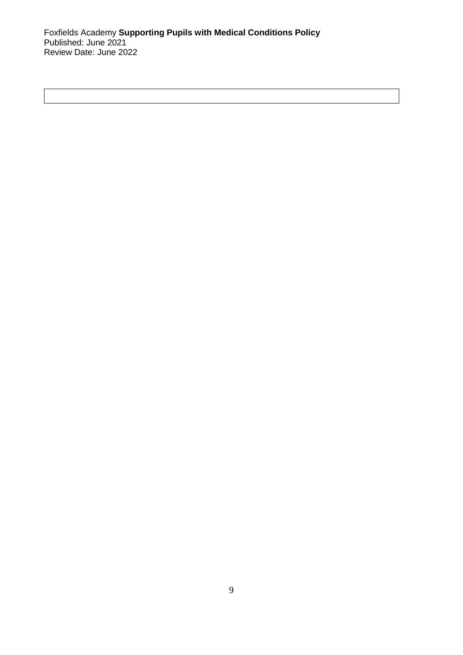9